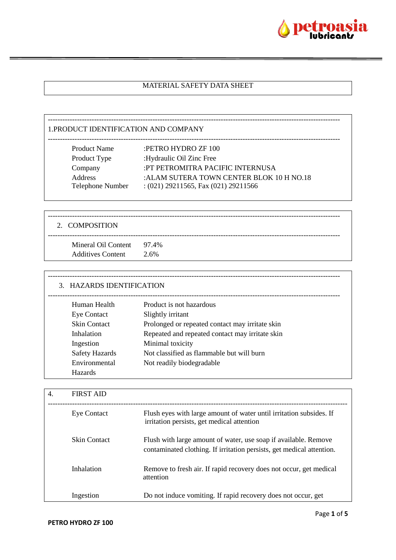

# MATERIAL SAFETY DATA SHEET

------------------------------------------------------------------------------------------------------------------------

| <b>Product Name</b>                | :PETRO HYDRO ZF 100                                                                 |
|------------------------------------|-------------------------------------------------------------------------------------|
| Product Type                       | :Hydraulic Oil Zinc Free                                                            |
| Company                            | :PT PETROMITRA PACIFIC INTERNUSA                                                    |
| <b>Address</b><br>Telephone Number | : ALAM SUTERA TOWN CENTER BLOK 10 H NO.18<br>$(021)$ 29211565, Fax $(021)$ 29211566 |
|                                    |                                                                                     |

| 2. COMPOSITION                                        |      |
|-------------------------------------------------------|------|
| Mineral Oil Content 97.4%<br><b>Additives Content</b> | 2.6% |

| 3. HAZARDS IDENTIFICATION |                                                 |  |
|---------------------------|-------------------------------------------------|--|
| Human Health              | Product is not hazardous                        |  |
| <b>Eye Contact</b>        | Slightly irritant                               |  |
| <b>Skin Contact</b>       | Prolonged or repeated contact may irritate skin |  |
| Inhalation                | Repeated and repeated contact may irritate skin |  |
| Ingestion                 | Minimal toxicity                                |  |
| <b>Safety Hazards</b>     | Not classified as flammable but will burn       |  |
| Environmental             | Not readily biodegradable                       |  |
| <b>Hazards</b>            |                                                 |  |

| 4. | <b>FIRST AID</b>    |                                                                                                                                          |
|----|---------------------|------------------------------------------------------------------------------------------------------------------------------------------|
|    | <b>Eye Contact</b>  | Flush eyes with large amount of water until irritation subsides. If<br>irritation persists, get medical attention                        |
|    | <b>Skin Contact</b> | Flush with large amount of water, use soap if available. Remove<br>contaminated clothing. If irritation persists, get medical attention. |
|    | Inhalation          | Remove to fresh air. If rapid recovery does not occur, get medical<br>attention                                                          |
|    | Ingestion           | Do not induce vomiting. If rapid recovery does not occur, get                                                                            |

 $\mathsf{r}$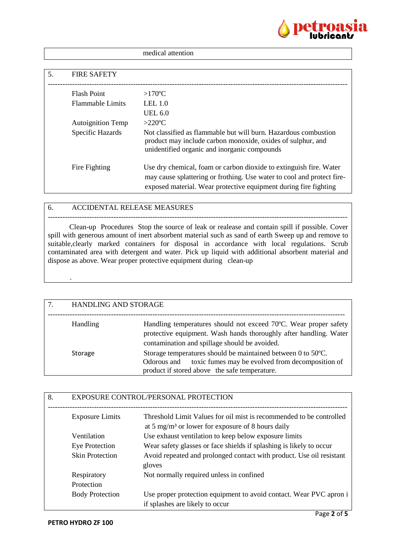

|    |                          | medical attention                                                                                                                                                                                                |
|----|--------------------------|------------------------------------------------------------------------------------------------------------------------------------------------------------------------------------------------------------------|
|    |                          |                                                                                                                                                                                                                  |
| 5. | <b>FIRE SAFETY</b>       |                                                                                                                                                                                                                  |
|    | <b>Flash Point</b>       | $>170^{\circ}$ C                                                                                                                                                                                                 |
|    | <b>Flammable Limits</b>  | LEL $1.0$                                                                                                                                                                                                        |
|    |                          | UEL 6.0                                                                                                                                                                                                          |
|    | <b>Autoignition Temp</b> | $>220$ °C                                                                                                                                                                                                        |
|    | Specific Hazards         | Not classified as flammable but will burn. Hazardous combustion<br>product may include carbon monoxide, oxides of sulphur, and<br>unidentified organic and inorganic compounds                                   |
|    | Fire Fighting            | Use dry chemical, foam or carbon dioxide to extinguish fire. Water<br>may cause splattering or frothing. Use water to cool and protect fire-<br>exposed material. Wear protective equipment during fire fighting |

### 6. ACCIDENTAL RELEASE MEASURES

--------------------------------------------------------------------------------------------------------------------------- Clean-up Procedures Stop the source of leak or realease and contain spill if possible. Cover spill with generous amount of inert absorbent material such as sand of earth Sweep up and remove to suitable,clearly marked containers for disposal in accordance with local regulations. Scrub contaminated area with detergent and water. Pick up liquid with additional absorbent material and dispose as above. Wear proper protective equipment during clean-up

| 7. | <b>HANDLING AND STORAGE</b> |                                                                                                                                                                                        |
|----|-----------------------------|----------------------------------------------------------------------------------------------------------------------------------------------------------------------------------------|
|    | Handling                    | Handling temperatures should not exceed 70°C. Wear proper safety<br>protective equipment. Wash hands thoroughly after handling. Water<br>contamination and spillage should be avoided. |
|    | Storage                     | Storage temperatures should be maintained between 0 to 50°C.<br>toxic fumes may be evolved from decomposition of<br>Odorous and<br>product if stored above the safe temperature.       |

| 8. | EXPOSURE CONTROL/PERSONAL PROTECTION |                                                                                                                                      |
|----|--------------------------------------|--------------------------------------------------------------------------------------------------------------------------------------|
|    | <b>Exposure Limits</b>               | Threshold Limit Values for oil mist is recommended to be controlled<br>at 5 mg/m <sup>3</sup> or lower for exposure of 8 hours daily |
|    | Ventilation                          | Use exhaust ventilation to keep below exposure limits                                                                                |
|    | Eye Protection                       | Wear safety glasses or face shields if splashing is likely to occur                                                                  |
|    | <b>Skin Protection</b>               | Avoid repeated and prolonged contact with product. Use oil resistant<br>gloves                                                       |
|    | Respiratory<br>Protection            | Not normally required unless in confined                                                                                             |
|    | <b>Body Protection</b>               | Use proper protection equipment to avoid contact. Wear PVC apron i<br>if splashes are likely to occur                                |

.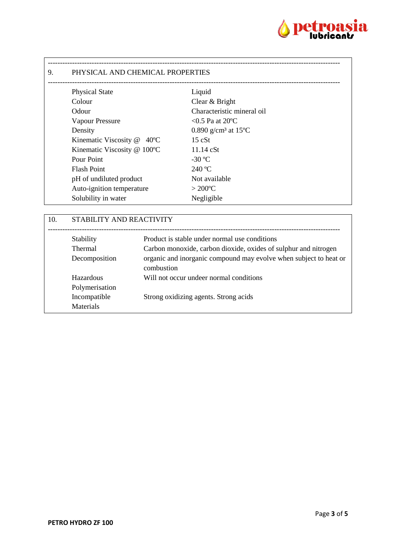

| 9. | PHYSICAL AND CHEMICAL PROPERTIES |                                              |  |
|----|----------------------------------|----------------------------------------------|--|
|    | <b>Physical State</b>            | Liquid                                       |  |
|    | Colour                           | Clear & Bright                               |  |
|    | Odour                            | Characteristic mineral oil                   |  |
|    | <b>Vapour Pressure</b>           | $< 0.5$ Pa at 20 °C                          |  |
|    | Density                          | 0.890 g/cm <sup>3</sup> at 15 <sup>o</sup> C |  |
|    | Kinematic Viscosity @ 40°C       | 15 cSt                                       |  |
|    | Kinematic Viscosity @ 100°C      | $11.14$ cSt                                  |  |
|    | Pour Point                       | $-30$ °C                                     |  |
|    | <b>Flash Point</b>               | 240 °C                                       |  |
|    | pH of undiluted product          | Not available                                |  |
|    | Auto-ignition temperature        | $>200^{\circ}$ C                             |  |
|    | Solubility in water              | Negligible                                   |  |

| 10. | STABILITY AND REACTIVITY |                                                                                 |
|-----|--------------------------|---------------------------------------------------------------------------------|
|     | Stability                | Product is stable under normal use conditions                                   |
|     | Thermal                  | Carbon monoxide, carbon dioxide, oxides of sulphur and nitrogen                 |
|     | Decomposition            | organic and inorganic compound may evolve when subject to heat or<br>combustion |
|     | Hazardous                | Will not occur undeer normal conditions                                         |
|     | Polymerisation           |                                                                                 |
|     | Incompatible             | Strong oxidizing agents. Strong acids                                           |
|     | <b>Materials</b>         |                                                                                 |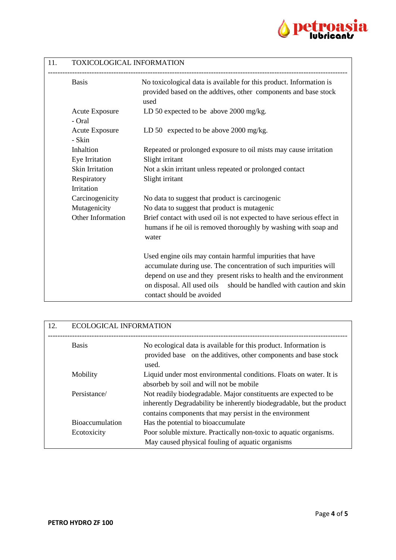

## 11. TOXICOLOGICAL INFORMATION

| <b>Basis</b>                |                       | No toxicological data is available for this product. Information is<br>provided based on the addtives, other components and base stock<br>used                                                                                                                                                         |
|-----------------------------|-----------------------|--------------------------------------------------------------------------------------------------------------------------------------------------------------------------------------------------------------------------------------------------------------------------------------------------------|
| - Oral                      | <b>Acute Exposure</b> | LD 50 expected to be above $2000 \text{ mg/kg}$ .                                                                                                                                                                                                                                                      |
| - Skin                      | <b>Acute Exposure</b> | LD 50 expected to be above $2000 \text{ mg/kg}$ .                                                                                                                                                                                                                                                      |
| Inhaltion<br>Eye Irritation |                       | Repeated or prolonged exposure to oil mists may cause irritation<br>Slight irritant                                                                                                                                                                                                                    |
|                             | Skin Irritation       | Not a skin irritant unless repeated or prolonged contact                                                                                                                                                                                                                                               |
| Respiratory                 |                       | Slight irritant                                                                                                                                                                                                                                                                                        |
| Irritation                  |                       |                                                                                                                                                                                                                                                                                                        |
|                             | Carcinogenicity       | No data to suggest that product is carcinogenic                                                                                                                                                                                                                                                        |
| Mutagenicity                |                       | No data to suggest that product is mutagenic                                                                                                                                                                                                                                                           |
|                             | Other Information     | Brief contact with used oil is not expected to have serious effect in                                                                                                                                                                                                                                  |
|                             |                       | humans if he oil is removed thoroughly by washing with soap and<br>water                                                                                                                                                                                                                               |
|                             |                       | Used engine oils may contain harmful impurities that have<br>accumulate during use. The concentration of such impurities will<br>depend on use and they present risks to health and the environment<br>on disposal. All used oils should be handled with caution and skin<br>contact should be avoided |

| 12. | <b>ECOLOGICAL INFORMATION</b> |                                                                                                                                                                                                      |
|-----|-------------------------------|------------------------------------------------------------------------------------------------------------------------------------------------------------------------------------------------------|
|     | <b>Basis</b>                  | No ecological data is available for this product. Information is<br>provided base on the additives, other components and base stock<br>used.                                                         |
|     | Mobility                      | Liquid under most environmental conditions. Floats on water. It is<br>absorbeb by soil and will not be mobile                                                                                        |
|     | Persistance/                  | Not readily biodegradable. Major constituents are expected to be<br>inherently Degradability be inherently biodegradable, but the product<br>contains components that may persist in the environment |
|     | <b>Bioaccumulation</b>        | Has the potential to bioaccumulate                                                                                                                                                                   |
|     | Ecotoxicity                   | Poor soluble mixture. Practically non-toxic to aquatic organisms.<br>May caused physical fouling of aquatic organisms                                                                                |